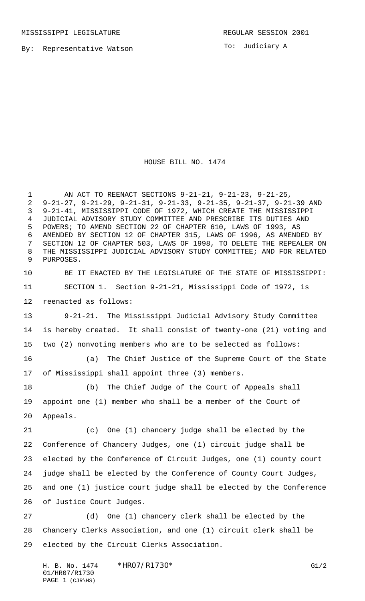By: Representative Watson

To: Judiciary A

HOUSE BILL NO. 1474

 AN ACT TO REENACT SECTIONS 9-21-21, 9-21-23, 9-21-25, 9-21-27, 9-21-29, 9-21-31, 9-21-33, 9-21-35, 9-21-37, 9-21-39 AND 9-21-41, MISSISSIPPI CODE OF 1972, WHICH CREATE THE MISSISSIPPI JUDICIAL ADVISORY STUDY COMMITTEE AND PRESCRIBE ITS DUTIES AND POWERS; TO AMEND SECTION 22 OF CHAPTER 610, LAWS OF 1993, AS AMENDED BY SECTION 12 OF CHAPTER 315, LAWS OF 1996, AS AMENDED BY SECTION 12 OF CHAPTER 503, LAWS OF 1998, TO DELETE THE REPEALER ON THE MISSISSIPPI JUDICIAL ADVISORY STUDY COMMITTEE; AND FOR RELATED PURPOSES.

 BE IT ENACTED BY THE LEGISLATURE OF THE STATE OF MISSISSIPPI: SECTION 1. Section 9-21-21, Mississippi Code of 1972, is reenacted as follows:

 9-21-21. The Mississippi Judicial Advisory Study Committee is hereby created. It shall consist of twenty-one (21) voting and two (2) nonvoting members who are to be selected as follows:

 (a) The Chief Justice of the Supreme Court of the State of Mississippi shall appoint three (3) members.

 (b) The Chief Judge of the Court of Appeals shall appoint one (1) member who shall be a member of the Court of Appeals.

 (c) One (1) chancery judge shall be elected by the Conference of Chancery Judges, one (1) circuit judge shall be elected by the Conference of Circuit Judges, one (1) county court judge shall be elected by the Conference of County Court Judges, and one (1) justice court judge shall be elected by the Conference of Justice Court Judges.

 (d) One (1) chancery clerk shall be elected by the Chancery Clerks Association, and one (1) circuit clerk shall be elected by the Circuit Clerks Association.

H. B. No. 1474 \* HRO7/R1730\* G1/2 01/HR07/R1730 PAGE 1 (CJR\HS)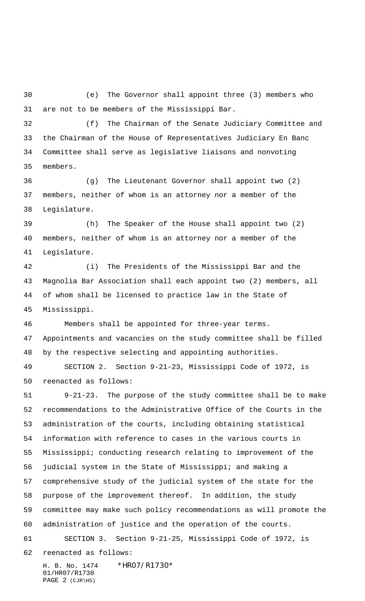(e) The Governor shall appoint three (3) members who are not to be members of the Mississippi Bar.

 (f) The Chairman of the Senate Judiciary Committee and the Chairman of the House of Representatives Judiciary En Banc Committee shall serve as legislative liaisons and nonvoting members.

 (g) The Lieutenant Governor shall appoint two (2) members, neither of whom is an attorney nor a member of the Legislature.

 (h) The Speaker of the House shall appoint two (2) members, neither of whom is an attorney nor a member of the Legislature.

 (i) The Presidents of the Mississippi Bar and the Magnolia Bar Association shall each appoint two (2) members, all of whom shall be licensed to practice law in the State of Mississippi.

 Members shall be appointed for three-year terms. Appointments and vacancies on the study committee shall be filled by the respective selecting and appointing authorities.

 SECTION 2. Section 9-21-23, Mississippi Code of 1972, is reenacted as follows:

 9-21-23. The purpose of the study committee shall be to make recommendations to the Administrative Office of the Courts in the administration of the courts, including obtaining statistical information with reference to cases in the various courts in Mississippi; conducting research relating to improvement of the judicial system in the State of Mississippi; and making a comprehensive study of the judicial system of the state for the purpose of the improvement thereof. In addition, the study committee may make such policy recommendations as will promote the administration of justice and the operation of the courts. SECTION 3. Section 9-21-25, Mississippi Code of 1972, is reenacted as follows:

H. B. No. 1474 \*HR07/R1730\* 01/HR07/R1730 PAGE 2 (CJR\HS)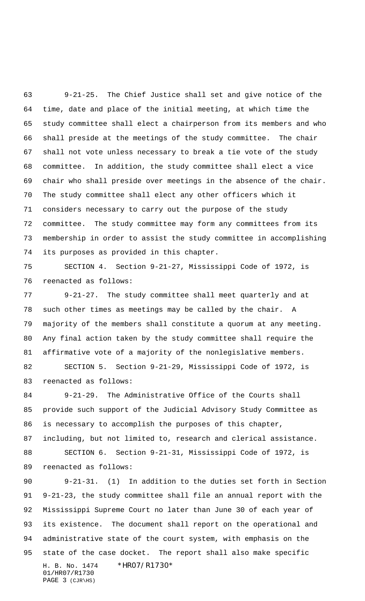9-21-25. The Chief Justice shall set and give notice of the time, date and place of the initial meeting, at which time the study committee shall elect a chairperson from its members and who shall preside at the meetings of the study committee. The chair shall not vote unless necessary to break a tie vote of the study committee. In addition, the study committee shall elect a vice chair who shall preside over meetings in the absence of the chair. The study committee shall elect any other officers which it considers necessary to carry out the purpose of the study committee. The study committee may form any committees from its membership in order to assist the study committee in accomplishing its purposes as provided in this chapter.

 SECTION 4. Section 9-21-27, Mississippi Code of 1972, is reenacted as follows:

 9-21-27. The study committee shall meet quarterly and at such other times as meetings may be called by the chair. A majority of the members shall constitute a quorum at any meeting. Any final action taken by the study committee shall require the affirmative vote of a majority of the nonlegislative members. SECTION 5. Section 9-21-29, Mississippi Code of 1972, is

reenacted as follows:

 9-21-29. The Administrative Office of the Courts shall provide such support of the Judicial Advisory Study Committee as is necessary to accomplish the purposes of this chapter, including, but not limited to, research and clerical assistance. SECTION 6. Section 9-21-31, Mississippi Code of 1972, is reenacted as follows:

H. B. No. 1474 \*HR07/R1730\* 01/HR07/R1730 PAGE 3 (CJR\HS) 9-21-31. (1) In addition to the duties set forth in Section 9-21-23, the study committee shall file an annual report with the Mississippi Supreme Court no later than June 30 of each year of its existence. The document shall report on the operational and administrative state of the court system, with emphasis on the state of the case docket. The report shall also make specific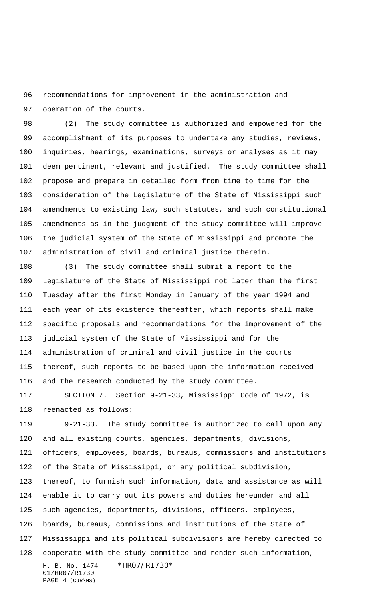recommendations for improvement in the administration and operation of the courts.

 (2) The study committee is authorized and empowered for the accomplishment of its purposes to undertake any studies, reviews, inquiries, hearings, examinations, surveys or analyses as it may deem pertinent, relevant and justified. The study committee shall propose and prepare in detailed form from time to time for the consideration of the Legislature of the State of Mississippi such amendments to existing law, such statutes, and such constitutional amendments as in the judgment of the study committee will improve the judicial system of the State of Mississippi and promote the administration of civil and criminal justice therein.

 (3) The study committee shall submit a report to the Legislature of the State of Mississippi not later than the first Tuesday after the first Monday in January of the year 1994 and each year of its existence thereafter, which reports shall make specific proposals and recommendations for the improvement of the judicial system of the State of Mississippi and for the administration of criminal and civil justice in the courts thereof, such reports to be based upon the information received and the research conducted by the study committee.

 SECTION 7. Section 9-21-33, Mississippi Code of 1972, is reenacted as follows:

H. B. No. 1474 \*HR07/R1730\* 9-21-33. The study committee is authorized to call upon any and all existing courts, agencies, departments, divisions, officers, employees, boards, bureaus, commissions and institutions of the State of Mississippi, or any political subdivision, thereof, to furnish such information, data and assistance as will enable it to carry out its powers and duties hereunder and all such agencies, departments, divisions, officers, employees, boards, bureaus, commissions and institutions of the State of Mississippi and its political subdivisions are hereby directed to cooperate with the study committee and render such information,

01/HR07/R1730 PAGE 4 (CJR\HS)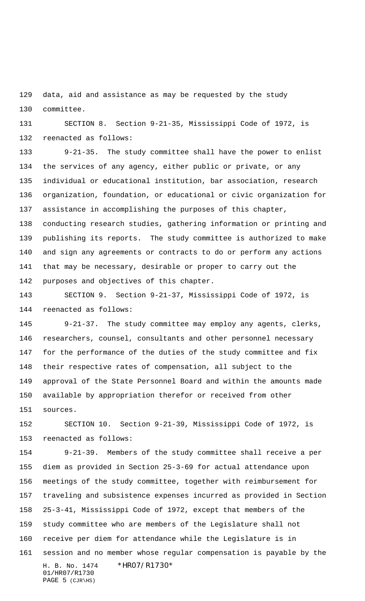data, aid and assistance as may be requested by the study committee.

 SECTION 8. Section 9-21-35, Mississippi Code of 1972, is reenacted as follows:

 9-21-35. The study committee shall have the power to enlist the services of any agency, either public or private, or any individual or educational institution, bar association, research organization, foundation, or educational or civic organization for assistance in accomplishing the purposes of this chapter, conducting research studies, gathering information or printing and publishing its reports. The study committee is authorized to make and sign any agreements or contracts to do or perform any actions that may be necessary, desirable or proper to carry out the purposes and objectives of this chapter.

 SECTION 9. Section 9-21-37, Mississippi Code of 1972, is reenacted as follows:

 9-21-37. The study committee may employ any agents, clerks, researchers, counsel, consultants and other personnel necessary for the performance of the duties of the study committee and fix their respective rates of compensation, all subject to the approval of the State Personnel Board and within the amounts made available by appropriation therefor or received from other sources.

 SECTION 10. Section 9-21-39, Mississippi Code of 1972, is reenacted as follows:

H. B. No. 1474 \*HR07/R1730\* 01/HR07/R1730 PAGE (CJR\HS) 9-21-39. Members of the study committee shall receive a per diem as provided in Section 25-3-69 for actual attendance upon meetings of the study committee, together with reimbursement for traveling and subsistence expenses incurred as provided in Section 25-3-41, Mississippi Code of 1972, except that members of the study committee who are members of the Legislature shall not receive per diem for attendance while the Legislature is in session and no member whose regular compensation is payable by the